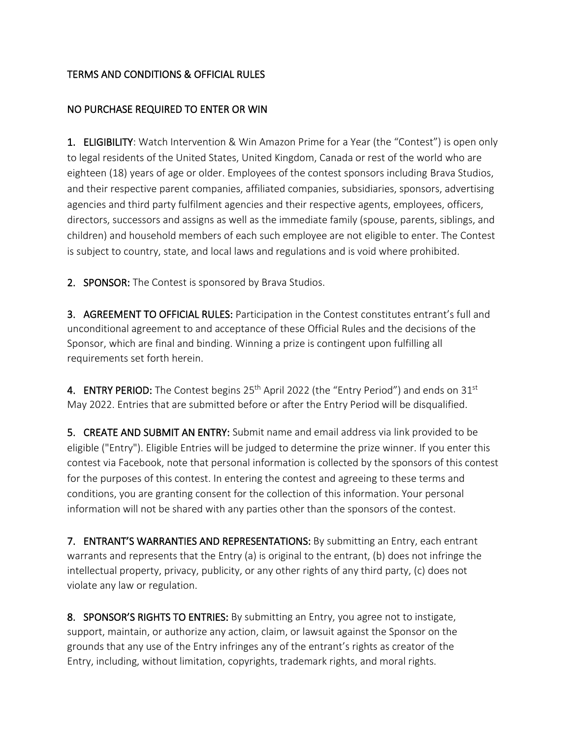## TERMS AND CONDITIONS & OFFICIAL RULES

## NO PURCHASE REQUIRED TO ENTER OR WIN

1. ELIGIBILITY: Watch Intervention & Win Amazon Prime for a Year (the "Contest") is open only to legal residents of the United States, United Kingdom, Canada or rest of the world who are eighteen (18) years of age or older. Employees of the contest sponsors including Brava Studios, and their respective parent companies, affiliated companies, subsidiaries, sponsors, advertising agencies and third party fulfilment agencies and their respective agents, employees, officers, directors, successors and assigns as well as the immediate family (spouse, parents, siblings, and children) and household members of each such employee are not eligible to enter. The Contest is subject to country, state, and local laws and regulations and is void where prohibited.

2. SPONSOR: The Contest is sponsored by Brava Studios.

3. AGREEMENT TO OFFICIAL RULES: Participation in the Contest constitutes entrant's full and unconditional agreement to and acceptance of these Official Rules and the decisions of the Sponsor, which are final and binding. Winning a prize is contingent upon fulfilling all requirements set forth herein.

4. ENTRY PERIOD: The Contest begins  $25<sup>th</sup>$  April 2022 (the "Entry Period") and ends on 31st May 2022. Entries that are submitted before or after the Entry Period will be disqualified.

5. CREATE AND SUBMIT AN ENTRY: Submit name and email address via link provided to be eligible ("Entry"). Eligible Entries will be judged to determine the prize winner. If you enter this contest via Facebook, note that personal information is collected by the sponsors of this contest for the purposes of this contest. In entering the contest and agreeing to these terms and conditions, you are granting consent for the collection of this information. Your personal information will not be shared with any parties other than the sponsors of the contest.

7. ENTRANT'S WARRANTIES AND REPRESENTATIONS: By submitting an Entry, each entrant warrants and represents that the Entry (a) is original to the entrant, (b) does not infringe the intellectual property, privacy, publicity, or any other rights of any third party, (c) does not violate any law or regulation.

8. SPONSOR'S RIGHTS TO ENTRIES: By submitting an Entry, you agree not to instigate, support, maintain, or authorize any action, claim, or lawsuit against the Sponsor on the grounds that any use of the Entry infringes any of the entrant's rights as creator of the Entry, including, without limitation, copyrights, trademark rights, and moral rights.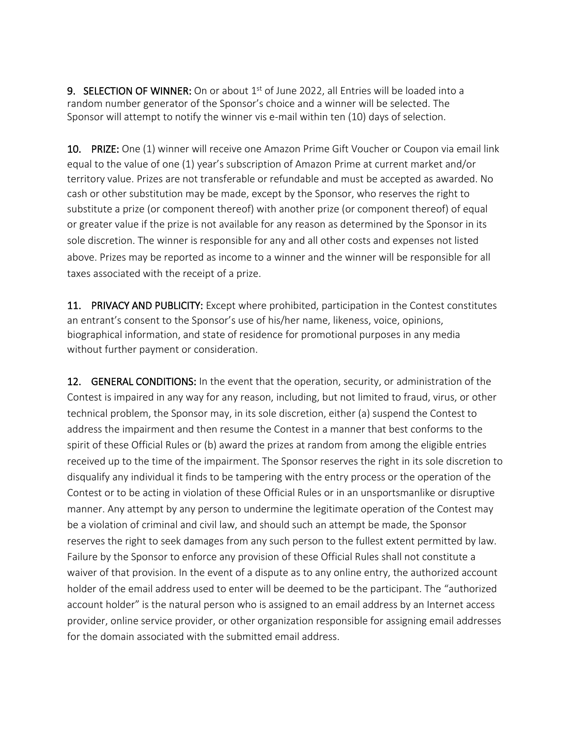**9. SELECTION OF WINNER:** On or about  $1<sup>st</sup>$  of June 2022, all Entries will be loaded into a random number generator of the Sponsor's choice and a winner will be selected. The Sponsor will attempt to notify the winner vis e-mail within ten (10) days of selection.

10. PRIZE: One (1) winner will receive one Amazon Prime Gift Voucher or Coupon via email link equal to the value of one (1) year's subscription of Amazon Prime at current market and/or territory value. Prizes are not transferable or refundable and must be accepted as awarded. No cash or other substitution may be made, except by the Sponsor, who reserves the right to substitute a prize (or component thereof) with another prize (or component thereof) of equal or greater value if the prize is not available for any reason as determined by the Sponsor in its sole discretion. The winner is responsible for any and all other costs and expenses not listed above. Prizes may be reported as income to a winner and the winner will be responsible for all taxes associated with the receipt of a prize.

11. PRIVACY AND PUBLICITY: Except where prohibited, participation in the Contest constitutes an entrant's consent to the Sponsor's use of his/her name, likeness, voice, opinions, biographical information, and state of residence for promotional purposes in any media without further payment or consideration.

12. **GENERAL CONDITIONS:** In the event that the operation, security, or administration of the Contest is impaired in any way for any reason, including, but not limited to fraud, virus, or other technical problem, the Sponsor may, in its sole discretion, either (a) suspend the Contest to address the impairment and then resume the Contest in a manner that best conforms to the spirit of these Official Rules or (b) award the prizes at random from among the eligible entries received up to the time of the impairment. The Sponsor reserves the right in its sole discretion to disqualify any individual it finds to be tampering with the entry process or the operation of the Contest or to be acting in violation of these Official Rules or in an unsportsmanlike or disruptive manner. Any attempt by any person to undermine the legitimate operation of the Contest may be a violation of criminal and civil law, and should such an attempt be made, the Sponsor reserves the right to seek damages from any such person to the fullest extent permitted by law. Failure by the Sponsor to enforce any provision of these Official Rules shall not constitute a waiver of that provision. In the event of a dispute as to any online entry, the authorized account holder of the email address used to enter will be deemed to be the participant. The "authorized account holder" is the natural person who is assigned to an email address by an Internet access provider, online service provider, or other organization responsible for assigning email addresses for the domain associated with the submitted email address.